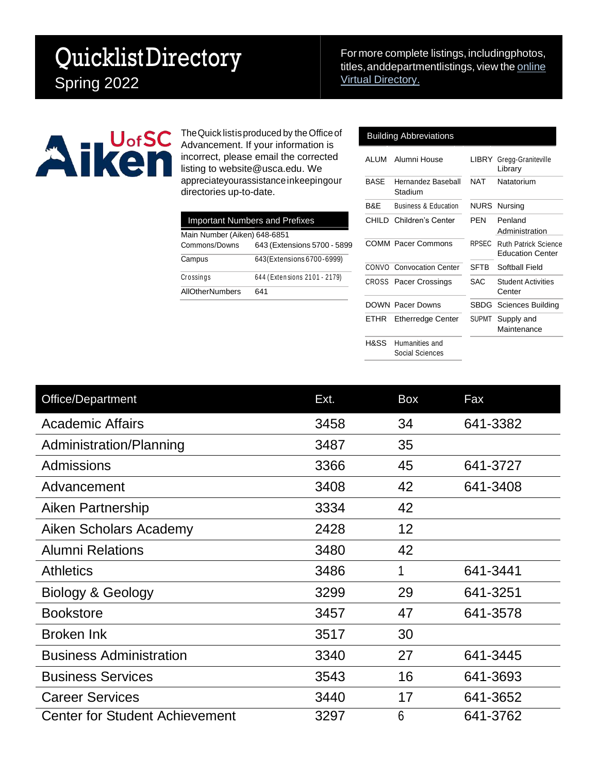## QuicklistDirectory Spring 2022

For more complete listings, includingphotos, titles, and departmentlistings, view the [online](https://www.usca.edu/directories/) Virtual [Directory.](https://www.usca.edu/directories/)



The Quick listis produced by the Office of Advancement. If your information is incorrect, please email the corrected listing to [website@usca.edu. W](mailto:website@usca.edu)e appreciateyourassistanceinkeepingour directories up-to-date.

|                              | <b>Important Numbers and Prefixes</b> |
|------------------------------|---------------------------------------|
| Main Number (Aiken) 648-6851 |                                       |
| Commons/Downs                | 643 (Extensions 5700 - 5899           |
| Campus                       | 643 (Extensions 6700-6999)            |
| Crossings                    | 644 (Extensions 2101 - 2179)          |
| AllOtherNumbers              | 641                                   |
|                              |                                       |

## Building Abbreviations

| ALUM | Alumni House                      | LIBRY        | Gregg-Graniteville<br>Library                          |
|------|-----------------------------------|--------------|--------------------------------------------------------|
| BASE | Hernandez Baseball<br>Stadium     | <b>NAT</b>   | Natatorium                                             |
| B&E  | <b>Business &amp; Education</b>   |              | <b>NURS</b> Nursing                                    |
|      | CHILD Children's Center           | PFN          | Penland<br>Administration                              |
|      | <b>COMM Pacer Commons</b>         | <b>RPSEC</b> | <b>Ruth Patrick Science</b><br><b>Education Center</b> |
|      | <b>CONVO</b> Convocation Center   | <b>SFTB</b>  | Softball Field                                         |
|      | <b>CROSS</b> Pacer Crossings      | SAC          | <b>Student Activities</b><br>Center                    |
|      | <b>DOWN Pacer Downs</b>           |              | <b>SBDG</b> Sciences Building                          |
|      | ETHR Etherredge Center            |              | SUPMT Supply and<br>Maintenance                        |
| H&SS | Humanities and<br>Social Sciences |              |                                                        |

| Office/Department                     | Ext. | Box | Fax      |
|---------------------------------------|------|-----|----------|
| <b>Academic Affairs</b>               | 3458 | 34  | 641-3382 |
| Administration/Planning               | 3487 | 35  |          |
| <b>Admissions</b>                     | 3366 | 45  | 641-3727 |
| Advancement                           | 3408 | 42  | 641-3408 |
| Aiken Partnership                     | 3334 | 42  |          |
| Aiken Scholars Academy                | 2428 | 12  |          |
| <b>Alumni Relations</b>               | 3480 | 42  |          |
| <b>Athletics</b>                      | 3486 | 1   | 641-3441 |
| Biology & Geology                     | 3299 | 29  | 641-3251 |
| <b>Bookstore</b>                      | 3457 | 47  | 641-3578 |
| <b>Broken Ink</b>                     | 3517 | 30  |          |
| <b>Business Administration</b>        | 3340 | 27  | 641-3445 |
| <b>Business Services</b>              | 3543 | 16  | 641-3693 |
| <b>Career Services</b>                | 3440 | 17  | 641-3652 |
| <b>Center for Student Achievement</b> | 3297 | 6   | 641-3762 |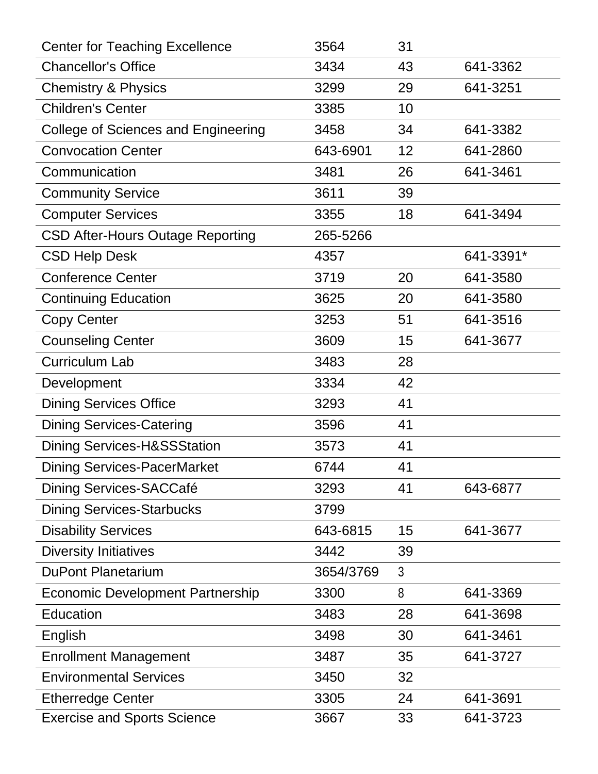| <b>Center for Teaching Excellence</b>      | 3564      | 31 |           |
|--------------------------------------------|-----------|----|-----------|
| <b>Chancellor's Office</b>                 | 3434      | 43 | 641-3362  |
| <b>Chemistry &amp; Physics</b>             | 3299      | 29 | 641-3251  |
| <b>Children's Center</b>                   | 3385      | 10 |           |
| <b>College of Sciences and Engineering</b> | 3458      | 34 | 641-3382  |
| <b>Convocation Center</b>                  | 643-6901  | 12 | 641-2860  |
| Communication                              | 3481      | 26 | 641-3461  |
| <b>Community Service</b>                   | 3611      | 39 |           |
| <b>Computer Services</b>                   | 3355      | 18 | 641-3494  |
| <b>CSD After-Hours Outage Reporting</b>    | 265-5266  |    |           |
| <b>CSD Help Desk</b>                       | 4357      |    | 641-3391* |
| <b>Conference Center</b>                   | 3719      | 20 | 641-3580  |
| <b>Continuing Education</b>                | 3625      | 20 | 641-3580  |
| <b>Copy Center</b>                         | 3253      | 51 | 641-3516  |
| <b>Counseling Center</b>                   | 3609      | 15 | 641-3677  |
| <b>Curriculum Lab</b>                      | 3483      | 28 |           |
| Development                                | 3334      | 42 |           |
| <b>Dining Services Office</b>              | 3293      | 41 |           |
| <b>Dining Services-Catering</b>            | 3596      | 41 |           |
| <b>Dining Services-H&amp;SSStation</b>     | 3573      | 41 |           |
| <b>Dining Services-PacerMarket</b>         | 6744      | 41 |           |
| Dining Services-SACCafé                    | 3293      | 41 | 643-6877  |
| <b>Dining Services-Starbucks</b>           | 3799      |    |           |
| <b>Disability Services</b>                 | 643-6815  | 15 | 641-3677  |
| <b>Diversity Initiatives</b>               | 3442      | 39 |           |
| <b>DuPont Planetarium</b>                  | 3654/3769 | 3  |           |
| <b>Economic Development Partnership</b>    | 3300      | 8  | 641-3369  |
| Education                                  | 3483      | 28 | 641-3698  |
| English                                    | 3498      | 30 | 641-3461  |
| <b>Enrollment Management</b>               | 3487      | 35 | 641-3727  |
| <b>Environmental Services</b>              | 3450      | 32 |           |
| <b>Etherredge Center</b>                   | 3305      | 24 | 641-3691  |
| <b>Exercise and Sports Science</b>         | 3667      | 33 | 641-3723  |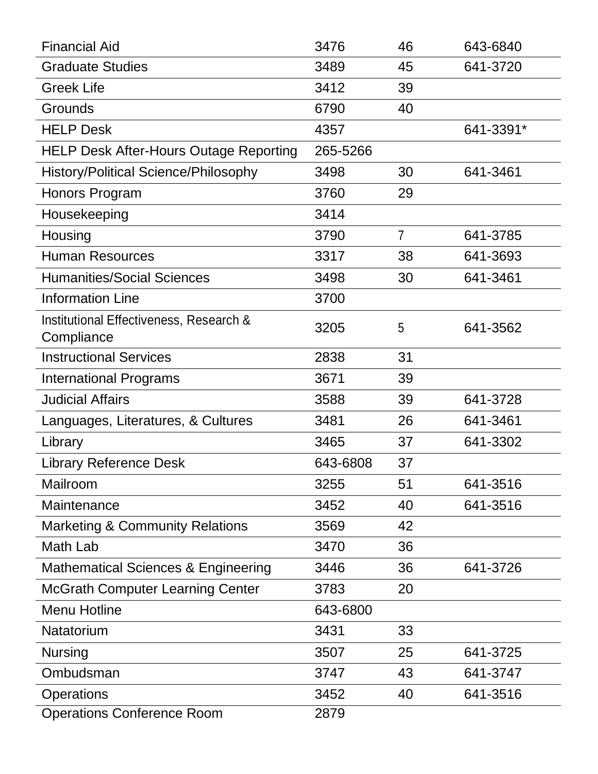| <b>Financial Aid</b>                           | 3476     | 46             | 643-6840  |
|------------------------------------------------|----------|----------------|-----------|
| <b>Graduate Studies</b>                        | 3489     | 45             | 641-3720  |
| <b>Greek Life</b>                              | 3412     | 39             |           |
| Grounds                                        | 6790     | 40             |           |
| <b>HELP Desk</b>                               | 4357     |                | 641-3391* |
| <b>HELP Desk After-Hours Outage Reporting</b>  | 265-5266 |                |           |
| <b>History/Political Science/Philosophy</b>    | 3498     | 30             | 641-3461  |
| Honors Program                                 | 3760     | 29             |           |
| Housekeeping                                   | 3414     |                |           |
| Housing                                        | 3790     | $\overline{7}$ | 641-3785  |
| <b>Human Resources</b>                         | 3317     | 38             | 641-3693  |
| <b>Humanities/Social Sciences</b>              | 3498     | 30             | 641-3461  |
| <b>Information Line</b>                        | 3700     |                |           |
| Institutional Effectiveness, Research &        | 3205     | 5              | 641-3562  |
| Compliance<br><b>Instructional Services</b>    | 2838     | 31             |           |
|                                                |          |                |           |
| <b>International Programs</b>                  | 3671     | 39             |           |
| <b>Judicial Affairs</b>                        | 3588     | 39             | 641-3728  |
| Languages, Literatures, & Cultures             | 3481     | 26             | 641-3461  |
| Library                                        | 3465     | 37             | 641-3302  |
| <b>Library Reference Desk</b>                  | 643-6808 | 37             |           |
| Mailroom                                       | 3255     | 51             | 641-3516  |
| Maintenance                                    | 3452     | 40             | 641-3516  |
| <b>Marketing &amp; Community Relations</b>     | 3569     | 42             |           |
| Math Lab                                       | 3470     | 36             |           |
| <b>Mathematical Sciences &amp; Engineering</b> | 3446     | 36             | 641-3726  |
| <b>McGrath Computer Learning Center</b>        | 3783     | 20             |           |
| <b>Menu Hotline</b>                            | 643-6800 |                |           |
| Natatorium                                     | 3431     | 33             |           |
| <b>Nursing</b>                                 | 3507     | 25             | 641-3725  |
| Ombudsman                                      | 3747     | 43             | 641-3747  |
| <b>Operations</b>                              | 3452     | 40             | 641-3516  |
| <b>Operations Conference Room</b>              | 2879     |                |           |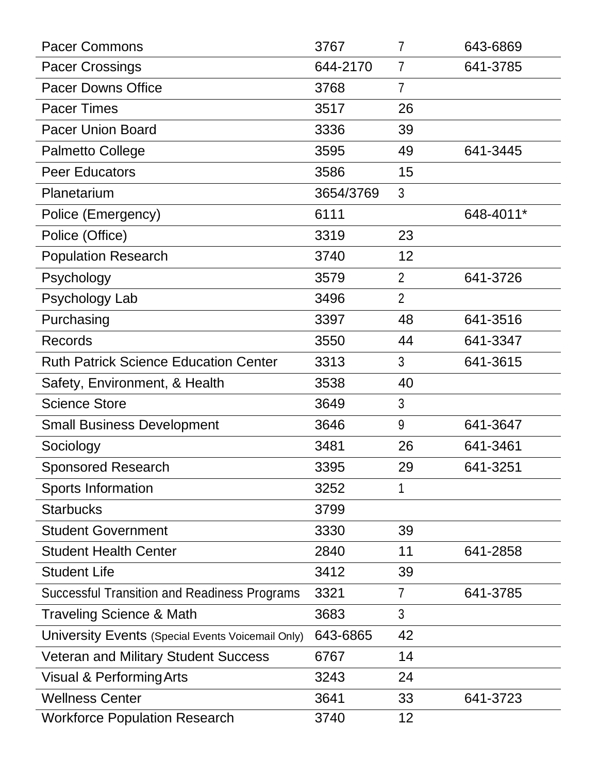| <b>Pacer Commons</b>                                | 3767      | $\overline{7}$ | 643-6869  |
|-----------------------------------------------------|-----------|----------------|-----------|
| <b>Pacer Crossings</b>                              | 644-2170  | $\overline{7}$ | 641-3785  |
| <b>Pacer Downs Office</b>                           | 3768      | $\overline{7}$ |           |
| <b>Pacer Times</b>                                  | 3517      | 26             |           |
| <b>Pacer Union Board</b>                            | 3336      | 39             |           |
| <b>Palmetto College</b>                             | 3595      | 49             | 641-3445  |
| <b>Peer Educators</b>                               | 3586      | 15             |           |
| Planetarium                                         | 3654/3769 | 3              |           |
| Police (Emergency)                                  | 6111      |                | 648-4011* |
| Police (Office)                                     | 3319      | 23             |           |
| <b>Population Research</b>                          | 3740      | 12             |           |
| Psychology                                          | 3579      | $\overline{2}$ | 641-3726  |
| Psychology Lab                                      | 3496      | $\overline{2}$ |           |
| Purchasing                                          | 3397      | 48             | 641-3516  |
| <b>Records</b>                                      | 3550      | 44             | 641-3347  |
| <b>Ruth Patrick Science Education Center</b>        | 3313      | 3              | 641-3615  |
| Safety, Environment, & Health                       | 3538      | 40             |           |
| <b>Science Store</b>                                | 3649      | 3              |           |
| <b>Small Business Development</b>                   | 3646      | 9              | 641-3647  |
| Sociology                                           | 3481      | 26             | 641-3461  |
| <b>Sponsored Research</b>                           | 3395      | 29             | 641-3251  |
| <b>Sports Information</b>                           | 3252      | 1              |           |
| <b>Starbucks</b>                                    | 3799      |                |           |
| <b>Student Government</b>                           | 3330      | 39             |           |
| <b>Student Health Center</b>                        | 2840      | 11             | 641-2858  |
| <b>Student Life</b>                                 | 3412      | 39             |           |
| <b>Successful Transition and Readiness Programs</b> | 3321      | $\overline{7}$ | 641-3785  |
| Traveling Science & Math                            | 3683      | 3              |           |
| University Events (Special Events Voicemail Only)   | 643-6865  | 42             |           |
| <b>Veteran and Military Student Success</b>         | 6767      | 14             |           |
| <b>Visual &amp; Performing Arts</b>                 | 3243      | 24             |           |
| <b>Wellness Center</b>                              | 3641      | 33             | 641-3723  |
| <b>Workforce Population Research</b>                | 3740      | 12             |           |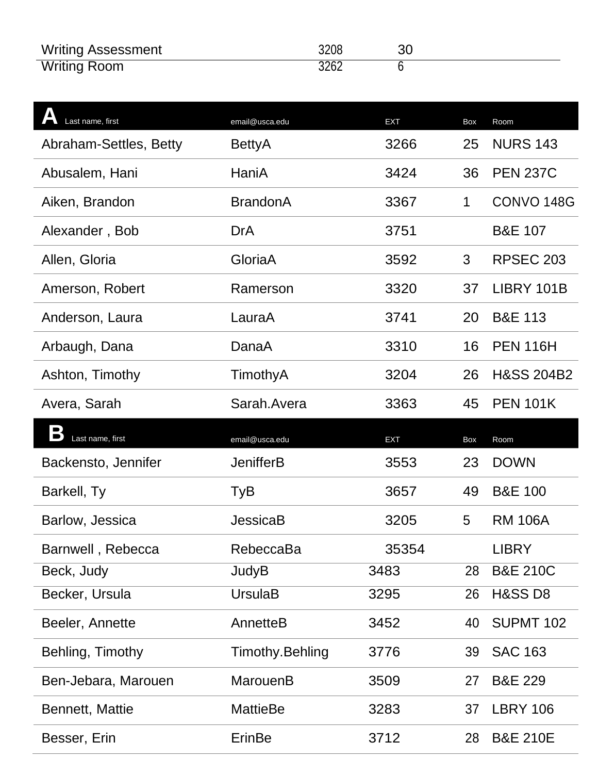| <b>Writing Assessment</b> | 3208 |  |
|---------------------------|------|--|
| <b>Writing Room</b>       | 3262 |  |

| Last name, first       | email@usca.edu   | <b>EXT</b> | Box         | Room                  |
|------------------------|------------------|------------|-------------|-----------------------|
| Abraham-Settles, Betty | BettyA           | 3266       | 25          | <b>NURS 143</b>       |
| Abusalem, Hani         | HaniA            | 3424       | 36          | <b>PEN 237C</b>       |
| Aiken, Brandon         | <b>BrandonA</b>  | 3367       | $\mathbf 1$ | CONVO <sub>148G</sub> |
| Alexander, Bob         | <b>DrA</b>       | 3751       |             | <b>B&amp;E 107</b>    |
| Allen, Gloria          | GloriaA          | 3592       | 3           | <b>RPSEC 203</b>      |
| Amerson, Robert        | Ramerson         | 3320       | 37          | LIBRY 101B            |
| Anderson, Laura        | LauraA           | 3741       | 20          | <b>B&amp;E 113</b>    |
| Arbaugh, Dana          | DanaA            | 3310       | 16          | <b>PEN 116H</b>       |
| Ashton, Timothy        | TimothyA         | 3204       | 26          | <b>H&amp;SS 204B2</b> |
| Avera, Sarah           | Sarah Avera      | 3363       | 45          | <b>PEN 101K</b>       |
|                        |                  |            |             |                       |
| Last name, first       | email@usca.edu   | <b>EXT</b> | Box         | Room                  |
| Backensto, Jennifer    | <b>JenifferB</b> | 3553       | 23          | <b>DOWN</b>           |
| Barkell, Ty            | TyB              | 3657       | 49          | <b>B&amp;E 100</b>    |
| Barlow, Jessica        | <b>JessicaB</b>  | 3205       | 5           | <b>RM 106A</b>        |
| Barnwell, Rebecca      | RebeccaBa        | 35354      |             | <b>LIBRY</b>          |
| Beck, Judy             | <b>JudyB</b>     | 3483       | 28          | <b>B&amp;E 210C</b>   |
| Becker, Ursula         | <b>UrsulaB</b>   | 3295       | 26          | <b>H&amp;SS D8</b>    |
| Beeler, Annette        | AnnetteB         | 3452       | 40          | <b>SUPMT 102</b>      |
| Behling, Timothy       | Timothy.Behling  | 3776       | 39          | <b>SAC 163</b>        |
| Ben-Jebara, Marouen    | MarouenB         | 3509       | 27          | <b>B&amp;E 229</b>    |
| Bennett, Mattie        | <b>MattieBe</b>  | 3283       | 37          | <b>LBRY 106</b>       |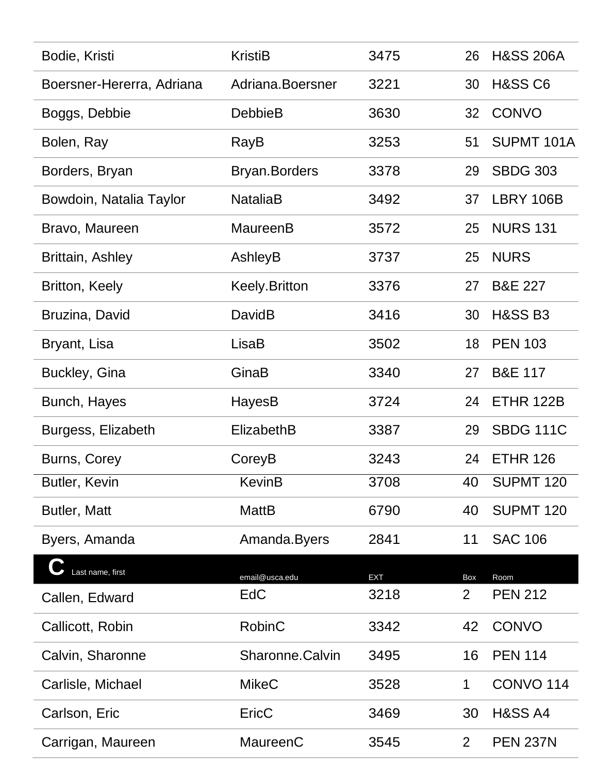| Bodie, Kristi             | <b>KristiB</b>       | 3475       | 26             | <b>H&amp;SS 206A</b> |
|---------------------------|----------------------|------------|----------------|----------------------|
| Boersner-Hererra, Adriana | Adriana.Boersner     | 3221       | 30             | <b>H&amp;SS C6</b>   |
| Boggs, Debbie             | <b>DebbieB</b>       | 3630       | 32             | <b>CONVO</b>         |
| Bolen, Ray                | RayB                 | 3253       | 51             | SUPMT 101A           |
| Borders, Bryan            | <b>Bryan.Borders</b> | 3378       | 29             | <b>SBDG 303</b>      |
| Bowdoin, Natalia Taylor   | <b>NataliaB</b>      | 3492       | 37             | LBRY 106B            |
| Bravo, Maureen            | MaureenB             | 3572       | 25             | <b>NURS 131</b>      |
| Brittain, Ashley          | AshleyB              | 3737       | 25             | <b>NURS</b>          |
| Britton, Keely            | <b>Keely.Britton</b> | 3376       | 27             | <b>B&amp;E 227</b>   |
| Bruzina, David            | DavidB               | 3416       | 30             | <b>H&amp;SS B3</b>   |
| Bryant, Lisa              | LisaB                | 3502       | 18             | <b>PEN 103</b>       |
| Buckley, Gina             | GinaB                | 3340       | 27             | <b>B&amp;E 117</b>   |
| Bunch, Hayes              | HayesB               | 3724       | 24             | ETHR 122B            |
| Burgess, Elizabeth        | ElizabethB           | 3387       | 29             | <b>SBDG 111C</b>     |
| Burns, Corey              | CoreyB               | 3243       | 24             | <b>ETHR 126</b>      |
| Butler, Kevin             | <b>KevinB</b>        | 3708       | 40             | <b>SUPMT 120</b>     |
| Butler, Matt              | <b>MattB</b>         | 6790       | 40             | <b>SUPMT 120</b>     |
| Byers, Amanda             | Amanda.Byers         | 2841       | 11             | <b>SAC 106</b>       |
| Last name, first          | email@usca.edu       | <b>EXT</b> | Box            | Room                 |
| Callen, Edward            | EdC                  | 3218       | $\overline{2}$ | <b>PEN 212</b>       |
| Callicott, Robin          | <b>RobinC</b>        | 3342       | 42             | <b>CONVO</b>         |
| Calvin, Sharonne          | Sharonne.Calvin      | 3495       | 16             | <b>PEN 114</b>       |
| Carlisle, Michael         | <b>MikeC</b>         | 3528       | $\mathbf 1$    | <b>CONVO 114</b>     |
| Carlson, Eric             | EricC                | 3469       | 30             | <b>H&amp;SS A4</b>   |
| Carrigan, Maureen         | MaureenC             | 3545       | $\overline{2}$ | <b>PEN 237N</b>      |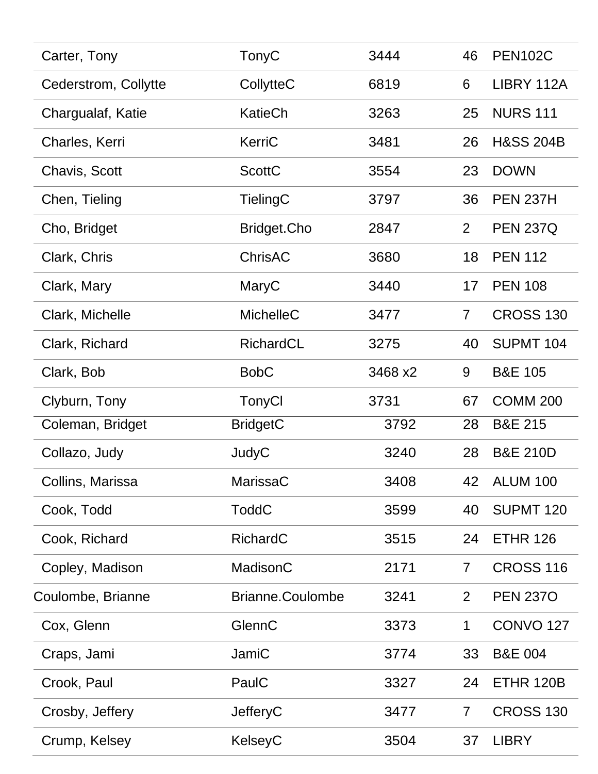| Carter, Tony         | TonyC              | 3444    | 46             | <b>PEN102C</b>       |
|----------------------|--------------------|---------|----------------|----------------------|
| Cederstrom, Collytte | CollytteC          | 6819    | 6              | LIBRY 112A           |
| Chargualaf, Katie    | KatieCh            | 3263    | 25             | <b>NURS 111</b>      |
| Charles, Kerri       | KerriC             | 3481    | 26             | <b>H&amp;SS 204B</b> |
| Chavis, Scott        | <b>ScottC</b>      | 3554    | 23             | <b>DOWN</b>          |
| Chen, Tieling        | <b>TielingC</b>    | 3797    | 36             | <b>PEN 237H</b>      |
| Cho, Bridget         | <b>Bridget.Cho</b> | 2847    | $\overline{2}$ | <b>PEN 237Q</b>      |
| Clark, Chris         | ChrisAC            | 3680    | 18             | <b>PEN 112</b>       |
| Clark, Mary          | MaryC              | 3440    | 17             | <b>PEN 108</b>       |
| Clark, Michelle      | MichelleC          | 3477    | $\overline{7}$ | <b>CROSS 130</b>     |
| Clark, Richard       | RichardCL          | 3275    | 40             | SUPMT <sub>104</sub> |
| Clark, Bob           | <b>BobC</b>        | 3468 x2 | 9              | <b>B&amp;E 105</b>   |
| Clyburn, Tony        | TonyCl             | 3731    | 67             | <b>COMM 200</b>      |
| Coleman, Bridget     | <b>BridgetC</b>    | 3792    | 28             | <b>B&amp;E 215</b>   |
| Collazo, Judy        | JudyC              | 3240    | 28             | <b>B&amp;E 210D</b>  |
| Collins, Marissa     | MarissaC           | 3408    | 42             | <b>ALUM 100</b>      |
| Cook, Todd           | <b>ToddC</b>       | 3599    | 40             | <b>SUPMT 120</b>     |
| Cook, Richard        | <b>RichardC</b>    | 3515    | 24             | <b>ETHR 126</b>      |
| Copley, Madison      | MadisonC           | 2171    | $\overline{7}$ | <b>CROSS 116</b>     |
| Coulombe, Brianne    | Brianne.Coulombe   | 3241    | $\overline{2}$ | <b>PEN 2370</b>      |
| Cox, Glenn           | GlennC             | 3373    | $\mathbf 1$    | <b>CONVO 127</b>     |
| Craps, Jami          | JamiC              | 3774    | 33             | <b>B&amp;E 004</b>   |
| Crook, Paul          | PaulC              | 3327    | 24             | <b>ETHR 120B</b>     |
| Crosby, Jeffery      | <b>JefferyC</b>    | 3477    | $\overline{7}$ | <b>CROSS 130</b>     |
| Crump, Kelsey        | KelseyC            | 3504    | 37             | <b>LIBRY</b>         |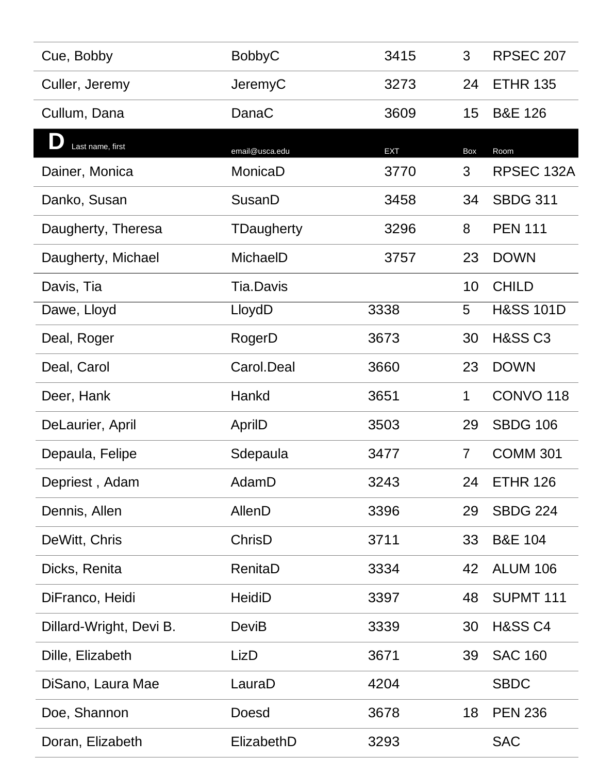| Cue, Bobby              | <b>BobbyC</b>    | 3415 | 3              | <b>RPSEC 207</b>     |
|-------------------------|------------------|------|----------------|----------------------|
| Culler, Jeremy          | JeremyC          | 3273 | 24             | <b>ETHR 135</b>      |
| Cullum, Dana            | DanaC            | 3609 | 15             | <b>B&amp;E 126</b>   |
| Last name, first        | email@usca.edu   | EXT  | Box            | Room                 |
| Dainer, Monica          | MonicaD          | 3770 | 3              | RPSEC 132A           |
| Danko, Susan            | SusanD           | 3458 | 34             | <b>SBDG 311</b>      |
| Daugherty, Theresa      | TDaugherty       | 3296 | 8              | <b>PEN 111</b>       |
| Daugherty, Michael      | MichaelD         | 3757 | 23             | <b>DOWN</b>          |
| Davis, Tia              | <b>Tia.Davis</b> |      | 10             | <b>CHILD</b>         |
| Dawe, Lloyd             | LloydD           | 3338 | 5              | <b>H&amp;SS 101D</b> |
| Deal, Roger             | RogerD           | 3673 | 30             | <b>H&amp;SS C3</b>   |
| Deal, Carol             | Carol.Deal       | 3660 | 23             | <b>DOWN</b>          |
| Deer, Hank              | Hankd            | 3651 | $\mathbf 1$    | <b>CONVO 118</b>     |
| DeLaurier, April        | AprilD           | 3503 | 29             | <b>SBDG 106</b>      |
| Depaula, Felipe         | Sdepaula         | 3477 | $\overline{7}$ | <b>COMM 301</b>      |
| Depriest, Adam          | AdamD            | 3243 | 24             | <b>ETHR 126</b>      |
| Dennis, Allen           | <b>AllenD</b>    | 3396 | 29             | <b>SBDG 224</b>      |
| DeWitt, Chris           | ChrisD           | 3711 | 33             | <b>B&amp;E 104</b>   |
| Dicks, Renita           | RenitaD          | 3334 | 42             | <b>ALUM 106</b>      |
| DiFranco, Heidi         | <b>HeidiD</b>    | 3397 | 48             | SUPMT <sub>111</sub> |
| Dillard-Wright, Devi B. | DeviB            | 3339 | 30             | <b>H&amp;SS C4</b>   |
| Dille, Elizabeth        | LizD             | 3671 | 39             | <b>SAC 160</b>       |
| DiSano, Laura Mae       | LauraD           | 4204 |                | <b>SBDC</b>          |
| Doe, Shannon            | <b>Doesd</b>     | 3678 | 18             | <b>PEN 236</b>       |
| Doran, Elizabeth        | ElizabethD       | 3293 |                | <b>SAC</b>           |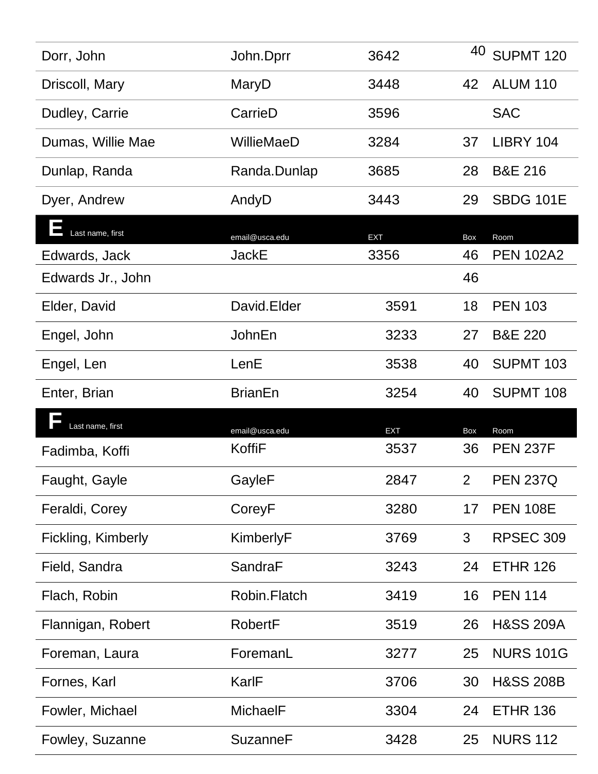| Dorr, John         | John.Dprr       | 3642       | 40             | <b>SUPMT 120</b>     |
|--------------------|-----------------|------------|----------------|----------------------|
| Driscoll, Mary     | MaryD           | 3448       | 42             | <b>ALUM 110</b>      |
| Dudley, Carrie     | CarrieD         | 3596       |                | <b>SAC</b>           |
| Dumas, Willie Mae  | WillieMaeD      | 3284       | 37             | LIBRY 104            |
| Dunlap, Randa      | Randa.Dunlap    | 3685       | 28             | <b>B&amp;E 216</b>   |
| Dyer, Andrew       | AndyD           | 3443       | 29             | <b>SBDG 101E</b>     |
| Last name, first   | email@usca.edu  | <b>EXT</b> | Box            | Room                 |
| Edwards, Jack      | <b>JackE</b>    | 3356       | 46             | <b>PEN 102A2</b>     |
| Edwards Jr., John  |                 |            | 46             |                      |
| Elder, David       | David.Elder     | 3591       | 18             | <b>PEN 103</b>       |
| Engel, John        | JohnEn          | 3233       | 27             | <b>B&amp;E 220</b>   |
| Engel, Len         | LenE            | 3538       | 40             | <b>SUPMT 103</b>     |
|                    |                 |            |                |                      |
| Enter, Brian       | <b>BrianEn</b>  | 3254       | 40             | <b>SUPMT 108</b>     |
| Last name, first   | email@usca.edu  | <b>EXT</b> | Box            | Room                 |
| Fadimba, Koffi     | KoffiF          | 3537       | 36             | <b>PEN 237F</b>      |
| Faught, Gayle      | GayleF          | 2847       | 2 <sup>1</sup> | <b>PEN 237Q</b>      |
| Feraldi, Corey     | CoreyF          | 3280       | 17             | <b>PEN 108E</b>      |
| Fickling, Kimberly | KimberlyF       | 3769       | 3              | <b>RPSEC 309</b>     |
| Field, Sandra      | SandraF         | 3243       | 24             | <b>ETHR 126</b>      |
| Flach, Robin       | Robin.Flatch    | 3419       | 16             | <b>PEN 114</b>       |
| Flannigan, Robert  | <b>RobertF</b>  | 3519       | 26             | <b>H&amp;SS 209A</b> |
| Foreman, Laura     | ForemanL        | 3277       | 25             | <b>NURS 101G</b>     |
| Fornes, Karl       | KarlF           | 3706       | 30             | <b>H&amp;SS 208B</b> |
| Fowler, Michael    | <b>MichaelF</b> | 3304       | 24             | <b>ETHR 136</b>      |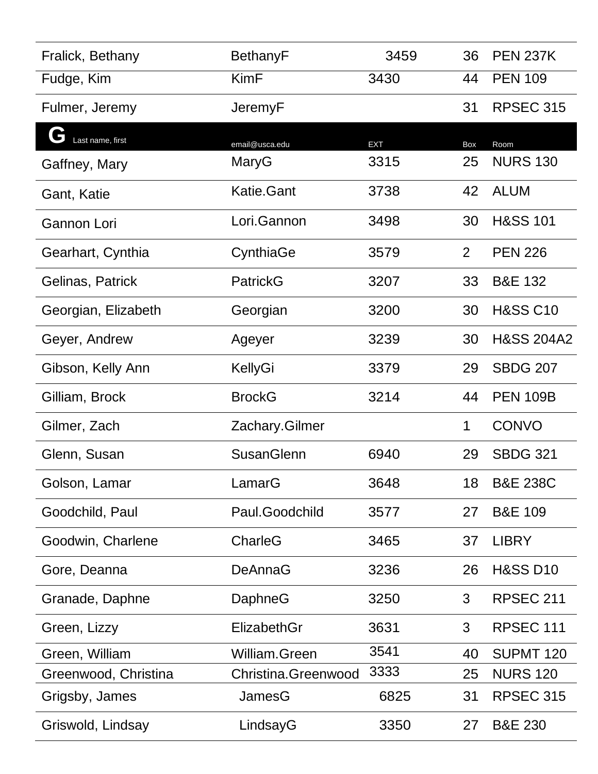| Fralick, Bethany     | <b>BethanyF</b>     | 3459       | 36             | <b>PEN 237K</b>       |
|----------------------|---------------------|------------|----------------|-----------------------|
| Fudge, Kim           | <b>KimF</b>         | 3430       | 44             | <b>PEN 109</b>        |
| Fulmer, Jeremy       | JeremyF             |            | 31             | <b>RPSEC 315</b>      |
| Last name, first     | email@usca.edu      | <b>EXT</b> | Box            | Room                  |
| Gaffney, Mary        | MaryG               | 3315       | 25             | <b>NURS 130</b>       |
| Gant, Katie          | <b>Katie.Gant</b>   | 3738       | 42             | <b>ALUM</b>           |
| Gannon Lori          | Lori.Gannon         | 3498       | 30             | <b>H&amp;SS 101</b>   |
| Gearhart, Cynthia    | CynthiaGe           | 3579       | $\overline{2}$ | <b>PEN 226</b>        |
| Gelinas, Patrick     | PatrickG            | 3207       | 33             | <b>B&amp;E 132</b>    |
| Georgian, Elizabeth  | Georgian            | 3200       | 30             | <b>H&amp;SS C10</b>   |
| Geyer, Andrew        | Ageyer              | 3239       | 30             | <b>H&amp;SS 204A2</b> |
| Gibson, Kelly Ann    | KellyGi             | 3379       | 29             | <b>SBDG 207</b>       |
| Gilliam, Brock       | <b>BrockG</b>       | 3214       | 44             | <b>PEN 109B</b>       |
| Gilmer, Zach         | Zachary.Gilmer      |            | 1              | <b>CONVO</b>          |
| Glenn, Susan         | <b>SusanGlenn</b>   | 6940       | 29             | <b>SBDG 321</b>       |
| Golson, Lamar        | LamarG              | 3648       | 18             | <b>B&amp;E 238C</b>   |
| Goodchild, Paul      | Paul.Goodchild      | 3577       | 27             | <b>B&amp;E 109</b>    |
| Goodwin, Charlene    | CharleG             | 3465       | 37             | <b>LIBRY</b>          |
| Gore, Deanna         | <b>DeAnnaG</b>      | 3236       | 26             | <b>H&amp;SS D10</b>   |
| Granade, Daphne      | DaphneG             | 3250       | 3              | <b>RPSEC 211</b>      |
| Green, Lizzy         | ElizabethGr         | 3631       | 3              | RPSEC 111             |
| Green, William       | William.Green       | 3541       | 40             | <b>SUPMT 120</b>      |
| Greenwood, Christina | Christina.Greenwood | 3333       | 25             | <b>NURS 120</b>       |
| Grigsby, James       | JamesG              | 6825       | 31             | <b>RPSEC 315</b>      |
| Griswold, Lindsay    | LindsayG            | 3350       | 27             | <b>B&amp;E 230</b>    |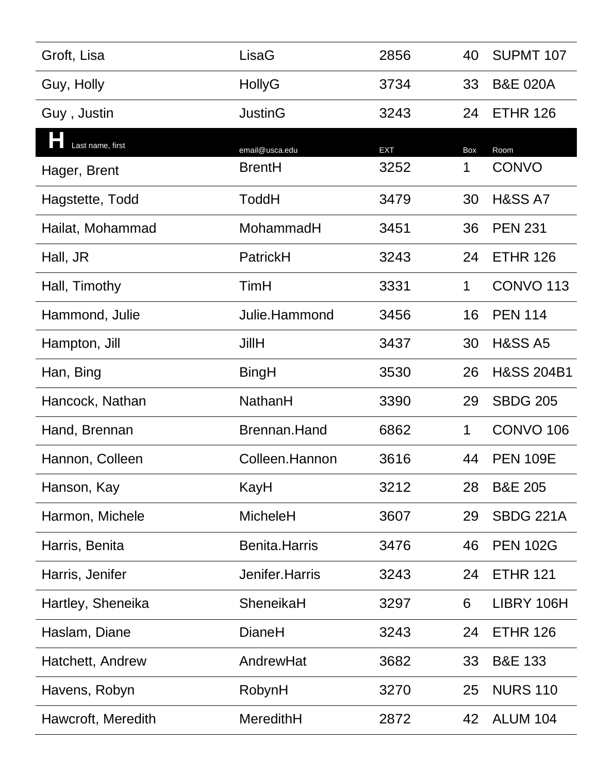| Groft, Lisa        | LisaG                | 2856       | 40  | SUPMT <sub>107</sub>  |
|--------------------|----------------------|------------|-----|-----------------------|
| Guy, Holly         | HollyG               | 3734       | 33  | <b>B&amp;E 020A</b>   |
| Guy, Justin        | <b>JustinG</b>       | 3243       | 24  | <b>ETHR 126</b>       |
| Last name, first   | email@usca.edu       | <b>EXT</b> | Box | Room                  |
| Hager, Brent       | <b>BrentH</b>        | 3252       | 1   | <b>CONVO</b>          |
| Hagstette, Todd    | <b>ToddH</b>         | 3479       | 30  | <b>H&amp;SS A7</b>    |
| Hailat, Mohammad   | MohammadH            | 3451       | 36  | <b>PEN 231</b>        |
| Hall, JR           | PatrickH             | 3243       | 24  | <b>ETHR 126</b>       |
| Hall, Timothy      | TimH                 | 3331       | 1   | <b>CONVO 113</b>      |
| Hammond, Julie     | Julie.Hammond        | 3456       | 16  | <b>PEN 114</b>        |
| Hampton, Jill      | <b>JillH</b>         | 3437       | 30  | <b>H&amp;SS A5</b>    |
| Han, Bing          | BingH                | 3530       | 26  | <b>H&amp;SS 204B1</b> |
| Hancock, Nathan    | NathanH              | 3390       | 29  | <b>SBDG 205</b>       |
| Hand, Brennan      | Brennan.Hand         | 6862       | 1   | <b>CONVO 106</b>      |
| Hannon, Colleen    | Colleen.Hannon       | 3616       | 44  | <b>PEN 109E</b>       |
| Hanson, Kay        | KayH                 | 3212       | 28  | <b>B&amp;E 205</b>    |
| Harmon, Michele    | <b>MicheleH</b>      | 3607       | 29  | <b>SBDG 221A</b>      |
| Harris, Benita     | <b>Benita.Harris</b> | 3476       | 46  | <b>PEN 102G</b>       |
| Harris, Jenifer    | Jenifer.Harris       | 3243       | 24  | <b>ETHR 121</b>       |
| Hartley, Sheneika  | SheneikaH            | 3297       | 6   | LIBRY 106H            |
| Haslam, Diane      | <b>DianeH</b>        | 3243       | 24  | <b>ETHR 126</b>       |
| Hatchett, Andrew   | AndrewHat            | 3682       | 33  | <b>B&amp;E 133</b>    |
| Havens, Robyn      | RobynH               | 3270       | 25  | <b>NURS 110</b>       |
| Hawcroft, Meredith | MeredithH            | 2872       | 42  | <b>ALUM 104</b>       |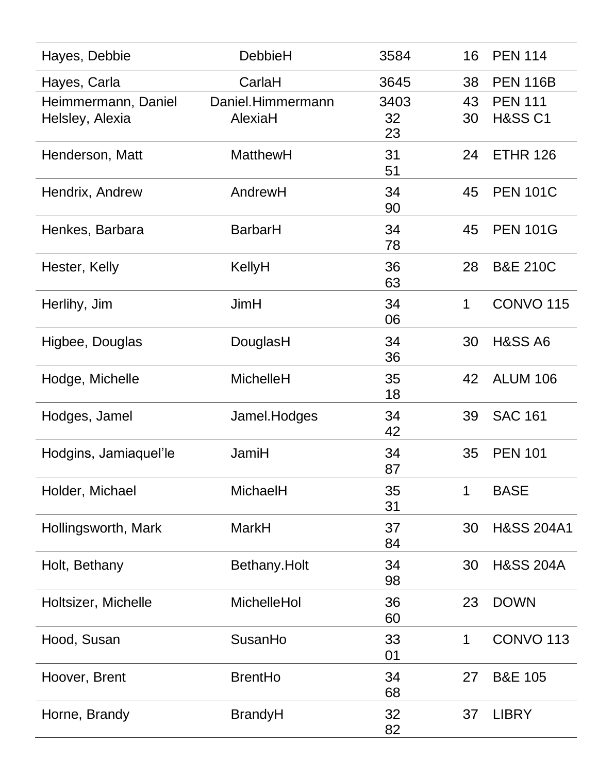| Hayes, Debbie                          | <b>DebbieH</b>               | 3584             | 16       | <b>PEN 114</b>                       |
|----------------------------------------|------------------------------|------------------|----------|--------------------------------------|
| Hayes, Carla                           | CarlaH                       | 3645             | 38       | <b>PEN 116B</b>                      |
| Heimmermann, Daniel<br>Helsley, Alexia | Daniel.Himmermann<br>AlexiaH | 3403<br>32<br>23 | 43<br>30 | <b>PEN 111</b><br><b>H&amp;SS C1</b> |
| Henderson, Matt                        | <b>MatthewH</b>              | 31<br>51         | 24       | <b>ETHR 126</b>                      |
| Hendrix, Andrew                        | AndrewH                      | 34<br>90         | 45       | <b>PEN 101C</b>                      |
| Henkes, Barbara                        | <b>BarbarH</b>               | 34<br>78         | 45       | <b>PEN 101G</b>                      |
| Hester, Kelly                          | KellyH                       | 36<br>63         | 28       | <b>B&amp;E 210C</b>                  |
| Herlihy, Jim                           | <b>JimH</b>                  | 34<br>06         | 1        | <b>CONVO 115</b>                     |
| Higbee, Douglas                        | DouglasH                     | 34<br>36         | 30       | <b>H&amp;SS A6</b>                   |
| Hodge, Michelle                        | <b>MichelleH</b>             | 35<br>18         | 42       | <b>ALUM 106</b>                      |
| Hodges, Jamel                          | Jamel.Hodges                 | 34<br>42         | 39       | <b>SAC 161</b>                       |
| Hodgins, Jamiaquel'le                  | JamiH                        | 34<br>87         | 35       | <b>PEN 101</b>                       |
| Holder, Michael                        | MichaelH                     | 35<br>31         | 1        | <b>BASE</b>                          |
| Hollingsworth, Mark                    | <b>MarkH</b>                 | 37<br>84         | 30       | <b>H&amp;SS 204A1</b>                |
| Holt, Bethany                          | Bethany.Holt                 | 34<br>98         | 30       | <b>H&amp;SS 204A</b>                 |
| Holtsizer, Michelle                    | MichelleHol                  | 36<br>60         | 23       | <b>DOWN</b>                          |
| Hood, Susan                            | SusanHo                      | 33<br>01         | 1        | <b>CONVO 113</b>                     |
| Hoover, Brent                          | <b>BrentHo</b>               | 34<br>68         | 27       | <b>B&amp;E 105</b>                   |
| Horne, Brandy                          | <b>BrandyH</b>               | 32<br>82         | 37       | <b>LIBRY</b>                         |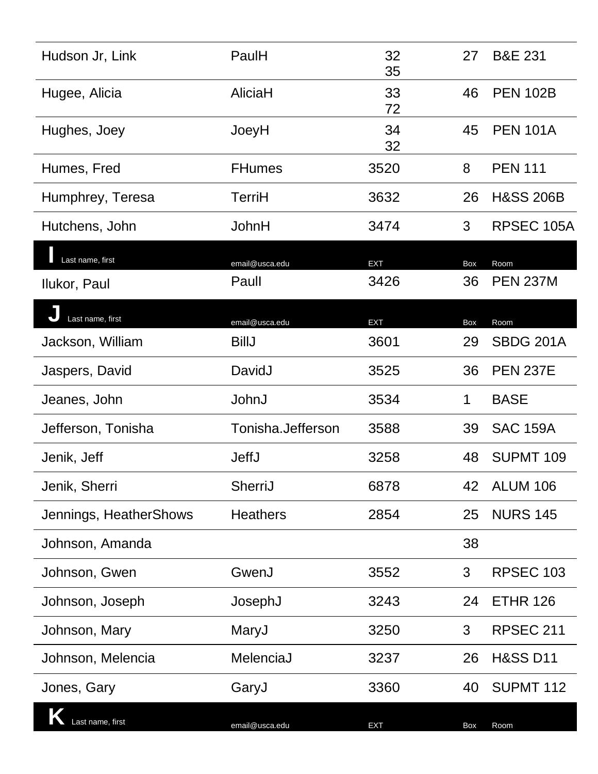| Hudson Jr, Link        | PaulH             | 32<br>35   | 27  | <b>B&amp;E 231</b>   |
|------------------------|-------------------|------------|-----|----------------------|
| Hugee, Alicia          | AliciaH           | 33<br>72   | 46  | <b>PEN 102B</b>      |
| Hughes, Joey           | JoeyH             | 34<br>32   | 45  | <b>PEN 101A</b>      |
| Humes, Fred            | <b>FHumes</b>     | 3520       | 8   | <b>PEN 111</b>       |
| Humphrey, Teresa       | TerriH            | 3632       | 26  | <b>H&amp;SS 206B</b> |
| Hutchens, John         | JohnH             | 3474       | 3   | RPSEC 105A           |
| Last name, first       | email@usca.edu    | <b>EXT</b> | Box | Room                 |
| Ilukor, Paul           | Paull             | 3426       | 36  | <b>PEN 237M</b>      |
| Last name, first       | email@usca.edu    | <b>EXT</b> | Box | Room                 |
| Jackson, William       | <b>BillJ</b>      | 3601       | 29  | <b>SBDG 201A</b>     |
| Jaspers, David         | DavidJ            | 3525       | 36  | <b>PEN 237E</b>      |
| Jeanes, John           | JohnJ             | 3534       | 1   | <b>BASE</b>          |
| Jefferson, Tonisha     | Tonisha.Jefferson | 3588       | 39  | <b>SAC 159A</b>      |
| Jenik, Jeff            | <b>JeffJ</b>      | 3258       | 48  | <b>SUPMT 109</b>     |
| Jenik, Sherri          | SherriJ           | 6878       | 42  | <b>ALUM 106</b>      |
| Jennings, HeatherShows | <b>Heathers</b>   | 2854       | 25  | <b>NURS 145</b>      |
| Johnson, Amanda        |                   |            | 38  |                      |
| Johnson, Gwen          | GwenJ             | 3552       | 3   | <b>RPSEC 103</b>     |
| Johnson, Joseph        | JosephJ           | 3243       | 24  | <b>ETHR 126</b>      |
| Johnson, Mary          | MaryJ             | 3250       | 3   | <b>RPSEC 211</b>     |
| Johnson, Melencia      | MelenciaJ         | 3237       | 26  | <b>H&amp;SS D11</b>  |
| Jones, Gary            | GaryJ             | 3360       | 40  | SUPMT 112            |
| Last name, first       | email@usca.edu    | <b>EXT</b> | Box | Room                 |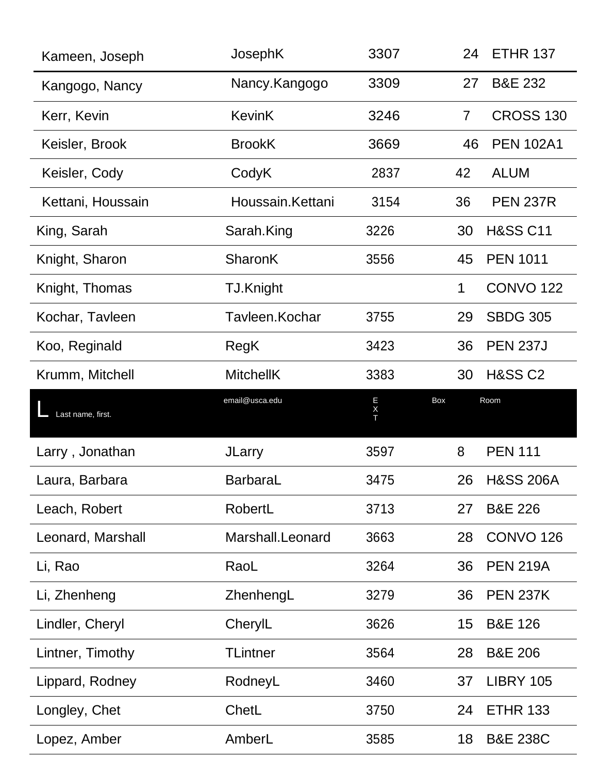| Kameen, Joseph    | JosephK          | 3307        | 24             | <b>ETHR 137</b>      |
|-------------------|------------------|-------------|----------------|----------------------|
| Kangogo, Nancy    | Nancy.Kangogo    | 3309        | 27             | <b>B&amp;E 232</b>   |
| Kerr, Kevin       | <b>KevinK</b>    | 3246        | $\overline{7}$ | <b>CROSS 130</b>     |
| Keisler, Brook    | <b>BrookK</b>    | 3669        | 46             | <b>PEN 102A1</b>     |
| Keisler, Cody     | CodyK            | 2837        | 42             | <b>ALUM</b>          |
| Kettani, Houssain | Houssain.Kettani | 3154        | 36             | <b>PEN 237R</b>      |
| King, Sarah       | Sarah.King       | 3226        | 30             | <b>H&amp;SS C11</b>  |
| Knight, Sharon    | <b>SharonK</b>   | 3556        | 45             | <b>PEN 1011</b>      |
| Knight, Thomas    | TJ.Knight        |             | 1              | <b>CONVO 122</b>     |
| Kochar, Tavleen   | Tavleen.Kochar   | 3755        | 29             | <b>SBDG 305</b>      |
| Koo, Reginald     | RegK             | 3423        | 36             | <b>PEN 237J</b>      |
| Krumm, Mitchell   | <b>MitchellK</b> | 3383        | 30             | <b>H&amp;SS C2</b>   |
|                   |                  |             |                |                      |
| Last name, first. | email@usca.edu   | E<br>X<br>T | Box            | Room                 |
| Larry, Jonathan   | <b>JLarry</b>    | 3597        | 8              | <b>PEN 111</b>       |
| .aura, Barbara    | BarbaraL         | 3475        | 26.            | <b>H&amp;SS 206A</b> |
| Leach, Robert     | RobertL          | 3713        | 27             | <b>B&amp;E 226</b>   |
| Leonard, Marshall | Marshall.Leonard | 3663        | 28             | <b>CONVO 126</b>     |
| Li, Rao           | RaoL             | 3264        | 36             | <b>PEN 219A</b>      |
| Li, Zhenheng      | ZhenhengL        | 3279        | 36             | <b>PEN 237K</b>      |
| Lindler, Cheryl   | CherylL          | 3626        | 15             | <b>B&amp;E 126</b>   |
| Lintner, Timothy  | <b>TLintner</b>  | 3564        | 28             | <b>B&amp;E 206</b>   |
| Lippard, Rodney   | RodneyL          | 3460        | 37             | <b>LIBRY 105</b>     |
| Longley, Chet     | ChetL            | 3750        | 24             | <b>ETHR 133</b>      |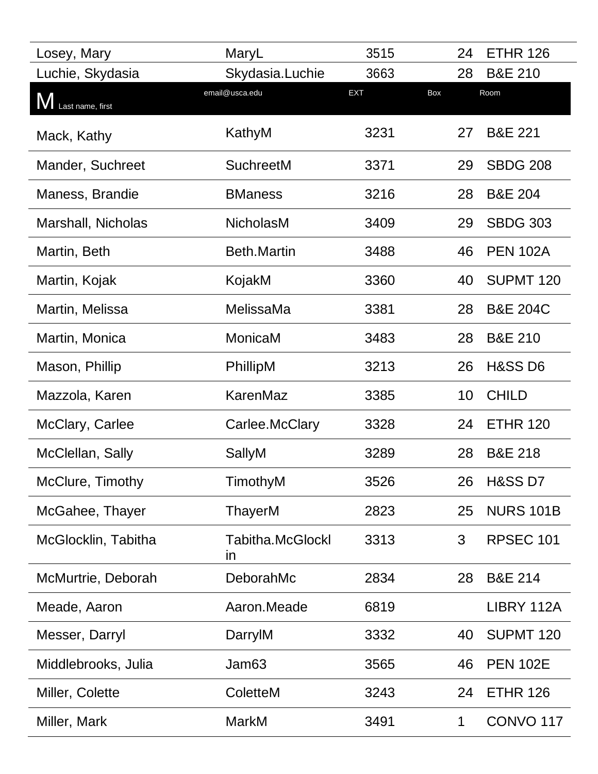| Losey, Mary               | MaryL                         | 3515       | 24  | <b>ETHR 126</b>      |
|---------------------------|-------------------------------|------------|-----|----------------------|
| Luchie, Skydasia          | Skydasia.Luchie               | 3663       | 28  | <b>B&amp;E 210</b>   |
| <b>V</b> Last name, first | email@usca.edu                | <b>EXT</b> | Box | Room                 |
| Mack, Kathy               | KathyM                        | 3231       | 27  | <b>B&amp;E 221</b>   |
| Mander, Suchreet          | <b>SuchreetM</b>              | 3371       | 29  | <b>SBDG 208</b>      |
| Maness, Brandie           | <b>BManess</b>                | 3216       | 28  | <b>B&amp;E 204</b>   |
| Marshall, Nicholas        | <b>NicholasM</b>              | 3409       | 29  | <b>SBDG 303</b>      |
| Martin, Beth              | <b>Beth.Martin</b>            | 3488       | 46  | <b>PEN 102A</b>      |
| Martin, Kojak             | KojakM                        | 3360       | 40  | SUPMT <sub>120</sub> |
| Martin, Melissa           | MelissaMa                     | 3381       | 28  | <b>B&amp;E 204C</b>  |
| Martin, Monica            | MonicaM                       | 3483       | 28  | <b>B&amp;E 210</b>   |
| Mason, Phillip            | PhillipM                      | 3213       | 26  | <b>H&amp;SS D6</b>   |
| Mazzola, Karen            | KarenMaz                      | 3385       | 10  | <b>CHILD</b>         |
| McClary, Carlee           | Carlee.McClary                | 3328       | 24  | <b>ETHR 120</b>      |
| McClellan, Sally          | SallyM                        | 3289       | 28  | <b>B&amp;E 218</b>   |
| McClure, Timothy          | TimothyM                      | 3526       | 26  | <b>H&amp;SS D7</b>   |
| McGahee, Thayer           | ThayerM                       | 2823       | 25  | <b>NURS 101B</b>     |
| McGlocklin, Tabitha       | <b>Tabitha.McGlockl</b><br>in | 3313       | 3   | <b>RPSEC 101</b>     |
| McMurtrie, Deborah        | DeborahMc                     | 2834       | 28  | <b>B&amp;E 214</b>   |
| Meade, Aaron              | Aaron.Meade                   | 6819       |     | LIBRY 112A           |
| Messer, Darryl            | DarrylM                       | 3332       | 40  | <b>SUPMT 120</b>     |
| Middlebrooks, Julia       | Jam63                         | 3565       | 46  | <b>PEN 102E</b>      |
| Miller, Colette           | ColetteM                      | 3243       | 24  | <b>ETHR 126</b>      |
| Miller, Mark              | <b>MarkM</b>                  | 3491       | 1   | <b>CONVO 117</b>     |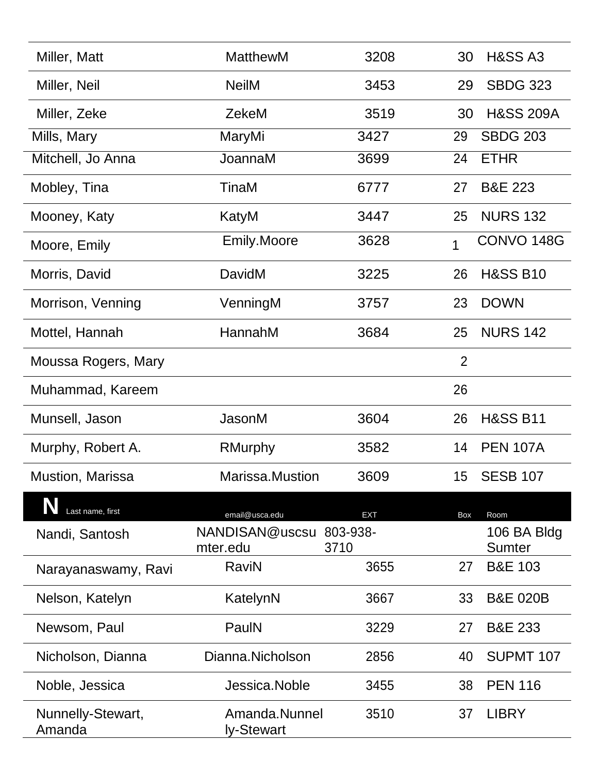| Miller, Matt                | <b>MatthewM</b>                     | 3208       | 30             | <b>H&amp;SS A3</b>           |
|-----------------------------|-------------------------------------|------------|----------------|------------------------------|
| Miller, Neil                | <b>NeilM</b>                        | 3453       | 29             | <b>SBDG 323</b>              |
| Miller, Zeke                | ZekeM                               | 3519       | 30             | <b>H&amp;SS 209A</b>         |
| Mills, Mary                 | MaryMi                              | 3427       | 29             | <b>SBDG 203</b>              |
| Mitchell, Jo Anna           | JoannaM                             | 3699       | 24             | <b>ETHR</b>                  |
| Mobley, Tina                | TinaM                               | 6777       | 27             | <b>B&amp;E 223</b>           |
| Mooney, Katy                | KatyM                               | 3447       | 25             | <b>NURS 132</b>              |
| Moore, Emily                | <b>Emily.Moore</b>                  | 3628       | 1              | CONVO 148G                   |
| Morris, David               | DavidM                              | 3225       | 26             | <b>H&amp;SS B10</b>          |
| Morrison, Venning           | VenningM                            | 3757       | 23             | <b>DOWN</b>                  |
| Mottel, Hannah              | HannahM                             | 3684       | 25             | <b>NURS 142</b>              |
| Moussa Rogers, Mary         |                                     |            | $\overline{2}$ |                              |
| Muhammad, Kareem            |                                     |            | 26             |                              |
| Munsell, Jason              | JasonM                              | 3604       | 26             | <b>H&amp;SS B11</b>          |
| Murphy, Robert A.           | <b>RMurphy</b>                      | 3582       | 14             | <b>PEN 107A</b>              |
| <b>Mustion, Marissa</b>     | <b>Marissa</b> .Mustion             | 3609       | 15             | <b>SESB 107</b>              |
| Last name, first            | email@usca.edu                      | <b>EXT</b> | Box            | Room                         |
| Nandi, Santosh              | NANDISAN@uscsu 803-938-<br>mter.edu | 3710       |                | 106 BA Bldg<br><b>Sumter</b> |
| Narayanaswamy, Ravi         | RaviN                               | 3655       | 27             | <b>B&amp;E 103</b>           |
| Nelson, Katelyn             | KatelynN                            | 3667       | 33             | <b>B&amp;E 020B</b>          |
| Newsom, Paul                | PaulN                               | 3229       | 27             | <b>B&amp;E 233</b>           |
| Nicholson, Dianna           | Dianna.Nicholson                    | 2856       | 40             | SUPMT 107                    |
| Noble, Jessica              | Jessica.Noble                       | 3455       | 38             | <b>PEN 116</b>               |
| Nunnelly-Stewart,<br>Amanda | Amanda.Nunnel<br>ly-Stewart         | 3510       | 37             | <b>LIBRY</b>                 |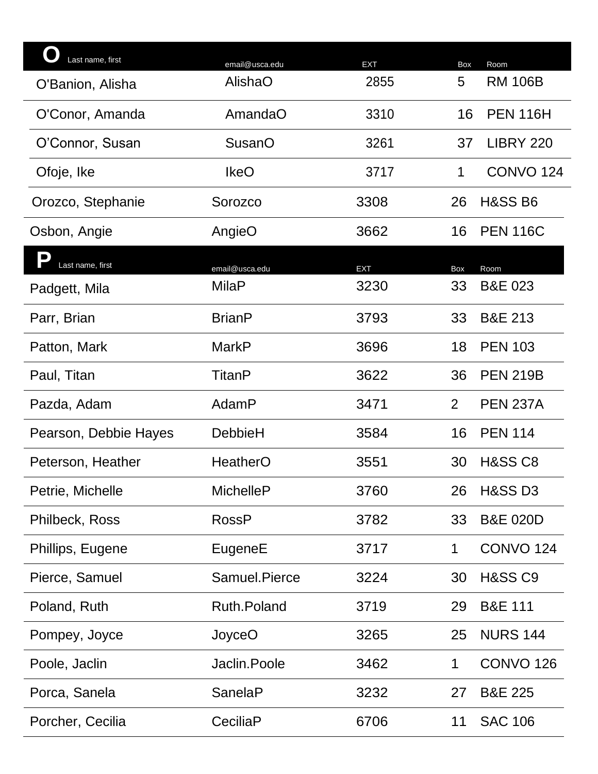| Last name, first                         | email@usca.edu     | <b>EXT</b> | Box            | Room                 |
|------------------------------------------|--------------------|------------|----------------|----------------------|
| O'Banion, Alisha                         | AlishaO            | 2855       | 5              | <b>RM 106B</b>       |
| O'Conor, Amanda                          | AmandaO            | 3310       | 16             | <b>PEN 116H</b>      |
| O'Connor, Susan                          | <b>SusanO</b>      | 3261       | 37             | <b>LIBRY 220</b>     |
| Ofoje, Ike                               | <b>IkeO</b>        | 3717       | $\mathbf 1$    | CONVO <sub>124</sub> |
| Orozco, Stephanie                        | Sorozco            | 3308       | 26             | <b>H&amp;SS B6</b>   |
| Osbon, Angie                             | AngieO             | 3662       | 16             | <b>PEN 116C</b>      |
| $\overline{\bullet}$<br>Last name, first | email@usca.edu     | <b>EXT</b> | Box            | Room                 |
| Padgett, Mila                            | <b>MilaP</b>       | 3230       | 33             | <b>B&amp;E 023</b>   |
| Parr, Brian                              | <b>BrianP</b>      | 3793       | 33             | <b>B&amp;E 213</b>   |
| Patton, Mark                             | <b>MarkP</b>       | 3696       | 18             | <b>PEN 103</b>       |
| Paul, Titan                              | TitanP             | 3622       | 36             | <b>PEN 219B</b>      |
| Pazda, Adam                              | AdamP              | 3471       | $\overline{2}$ | <b>PEN 237A</b>      |
| Pearson, Debbie Hayes                    | DebbieH            | 3584       | 16             | <b>PEN 114</b>       |
| Peterson, Heather                        | HeatherO           | 3551       | 30             | <b>H&amp;SS C8</b>   |
| Petrie, Michelle                         | <b>MichelleP</b>   | 3760       | 26             | <b>H&amp;SS D3</b>   |
| Philbeck, Ross                           | <b>RossP</b>       | 3782       | 33             | <b>B&amp;E 020D</b>  |
| Phillips, Eugene                         | EugeneE            | 3717       | 1              | <b>CONVO 124</b>     |
| Pierce, Samuel                           | Samuel.Pierce      | 3224       | 30             | <b>H&amp;SS C9</b>   |
| Poland, Ruth                             | <b>Ruth.Poland</b> | 3719       | 29             | <b>B&amp;E 111</b>   |
| Pompey, Joyce                            | JoyceO             | 3265       | 25             | <b>NURS 144</b>      |
| Poole, Jaclin                            | Jaclin.Poole       | 3462       | 1              | <b>CONVO 126</b>     |
| Porca, Sanela                            | <b>SanelaP</b>     | 3232       | 27             | <b>B&amp;E 225</b>   |
| Porcher, Cecilia                         | CeciliaP           | 6706       | 11             | <b>SAC 106</b>       |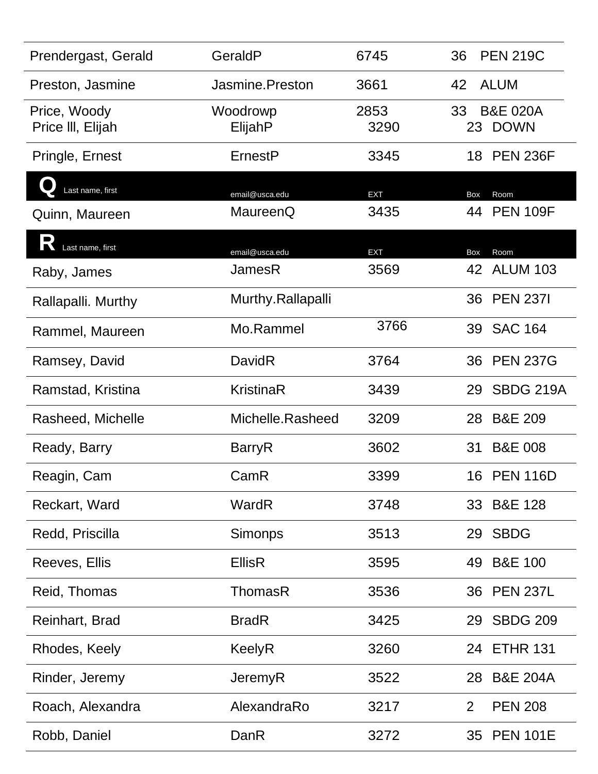| Prendergast, Gerald               | GeraldP             | 6745         | <b>PEN 219C</b><br>36                |
|-----------------------------------|---------------------|--------------|--------------------------------------|
| Preston, Jasmine                  | Jasmine.Preston     | 3661         | <b>ALUM</b><br>42                    |
| Price, Woody<br>Price III, Elijah | Woodrowp<br>ElijahP | 2853<br>3290 | <b>B&amp;E 020A</b><br>33<br>23 DOWN |
| Pringle, Ernest                   | ErnestP             | 3345         | <b>PEN 236F</b><br>18                |
| Last name, first                  | email@usca.edu      | <b>EXT</b>   | Room<br><b>Box</b>                   |
| Quinn, Maureen                    | MaureenQ            | 3435         | <b>PEN 109F</b><br>44                |
| IN<br>Last name, first            | email@usca.edu      | <b>EXT</b>   | <b>Box</b><br>Room                   |
| Raby, James                       | JamesR              | 3569         | 42 ALUM 103                          |
| Rallapalli. Murthy                | Murthy.Rallapalli   |              | 36 PEN 2371                          |
| Rammel, Maureen                   | Mo.Rammel           | 3766         | 39 SAC 164                           |
| Ramsey, David                     | DavidR              | 3764         | <b>PEN 237G</b><br>36                |
| Ramstad, Kristina                 | <b>KristinaR</b>    | 3439         | <b>SBDG 219A</b><br>29               |
| Rasheed, Michelle                 | Michelle.Rasheed    | 3209         | <b>B&amp;E 209</b><br>28             |
| Ready, Barry                      | <b>BarryR</b>       | 3602         | <b>B&amp;E 008</b><br>31             |
| Reagin, Cam                       | CamR                | 3399         | <b>PEN 116D</b><br>16                |
| Reckart, Ward                     | WardR               | 3748         | 33 B&E 128                           |
| Redd, Priscilla                   | <b>Simonps</b>      | 3513         | 29 SBDG                              |
| Reeves, Ellis                     | <b>EllisR</b>       | 3595         | 49 B&E 100                           |
| Reid, Thomas                      | <b>ThomasR</b>      | 3536         | 36 PEN 237L                          |
| Reinhart, Brad                    | <b>BradR</b>        | 3425         | 29 SBDG 209                          |
| Rhodes, Keely                     | <b>KeelyR</b>       | 3260         | 24 ETHR 131                          |
| Rinder, Jeremy                    | <b>JeremyR</b>      | 3522         | <b>B&amp;E 204A</b><br>28            |
| Roach, Alexandra                  | AlexandraRo         | 3217         | <b>PEN 208</b><br>$\overline{2}$     |
| Robb, Daniel                      | DanR                | 3272         | 35 PEN 101E                          |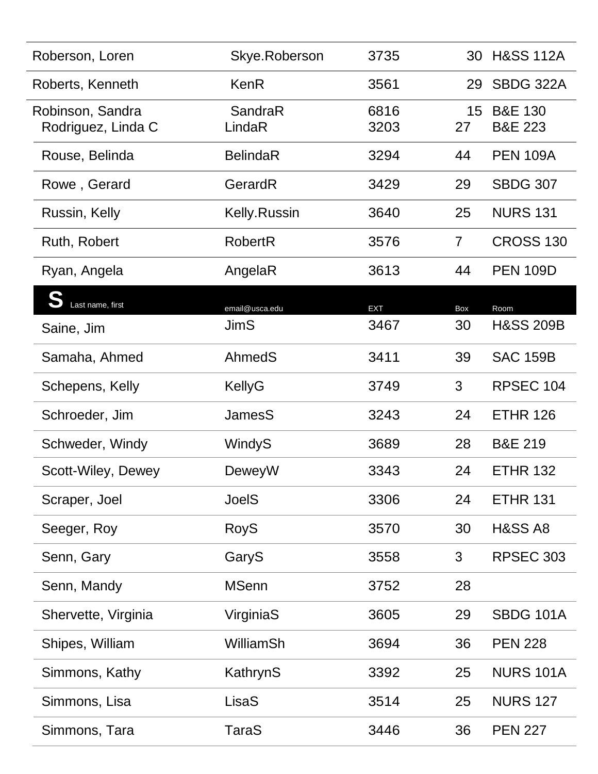| Roberson, Loren                        | Skye.Roberson     | 3735         | 30             | <b>H&amp;SS 112A</b>                     |
|----------------------------------------|-------------------|--------------|----------------|------------------------------------------|
| Roberts, Kenneth                       | <b>KenR</b>       | 3561         | 29             | <b>SBDG 322A</b>                         |
| Robinson, Sandra<br>Rodriguez, Linda C | SandraR<br>LindaR | 6816<br>3203 | 15<br>27       | <b>B&amp;E 130</b><br><b>B&amp;E 223</b> |
| Rouse, Belinda                         | <b>BelindaR</b>   | 3294         | 44             | <b>PEN 109A</b>                          |
| Rowe, Gerard                           | GerardR           | 3429         | 29             | <b>SBDG 307</b>                          |
| Russin, Kelly                          | Kelly.Russin      | 3640         | 25             | <b>NURS 131</b>                          |
| Ruth, Robert                           | <b>RobertR</b>    | 3576         | $\overline{7}$ | <b>CROSS 130</b>                         |
| Ryan, Angela                           | AngelaR           | 3613         | 44             | <b>PEN 109D</b>                          |
| Last name, first                       | email@usca.edu    | <b>EXT</b>   | Box            | Room                                     |
| Saine, Jim                             | <b>JimS</b>       | 3467         | 30             | <b>H&amp;SS 209B</b>                     |
| Samaha, Ahmed                          | AhmedS            | 3411         | 39             | <b>SAC 159B</b>                          |
| Schepens, Kelly                        | KellyG            | 3749         | 3              | RPSEC 104                                |
| Schroeder, Jim                         | <b>JamesS</b>     | 3243         | 24             | <b>ETHR 126</b>                          |
| Schweder, Windy                        | WindyS            | 3689         | 28             | <b>B&amp;E 219</b>                       |
| Scott-Wiley, Dewey                     | DeweyW            | 3343         | 24             | <b>ETHR 132</b>                          |
| Scraper, Joel                          | <b>JoelS</b>      | 3306         | 24             | <b>ETHR 131</b>                          |
| Seeger, Roy                            | <b>RoyS</b>       | 3570         | 30             | <b>H&amp;SS A8</b>                       |
| Senn, Gary                             | GaryS             | 3558         | 3              | <b>RPSEC 303</b>                         |
| Senn, Mandy                            | <b>MSenn</b>      | 3752         | 28             |                                          |
| Shervette, Virginia                    | VirginiaS         | 3605         | 29             | <b>SBDG 101A</b>                         |
| Shipes, William                        | <b>WilliamSh</b>  | 3694         | 36             | <b>PEN 228</b>                           |
| Simmons, Kathy                         | KathrynS          | 3392         | 25             | <b>NURS 101A</b>                         |
| Simmons, Lisa                          | LisaS             | 3514         | 25             | <b>NURS 127</b>                          |
| Simmons, Tara                          | <b>TaraS</b>      | 3446         | 36             | <b>PEN 227</b>                           |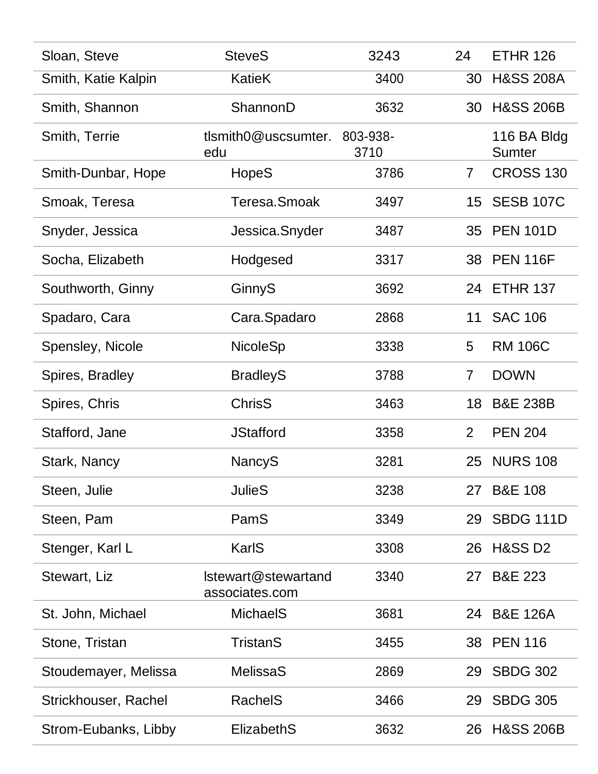| Sloan, Steve         | <b>SteveS</b>                         | 3243             | 24             | <b>ETHR 126</b>              |
|----------------------|---------------------------------------|------------------|----------------|------------------------------|
| Smith, Katie Kalpin  | <b>KatieK</b>                         | 3400             | 30             | <b>H&amp;SS 208A</b>         |
| Smith, Shannon       | ShannonD                              | 3632             | 30             | <b>H&amp;SS 206B</b>         |
| Smith, Terrie        | tlsmith0@uscsumter.<br>edu            | 803-938-<br>3710 |                | 116 BA Bldg<br><b>Sumter</b> |
| Smith-Dunbar, Hope   | HopeS                                 | 3786             | $\mathbf{7}$   | <b>CROSS 130</b>             |
| Smoak, Teresa        | Teresa.Smoak                          | 3497             | 15             | <b>SESB 107C</b>             |
| Snyder, Jessica      | Jessica.Snyder                        | 3487             | 35             | <b>PEN 101D</b>              |
| Socha, Elizabeth     | Hodgesed                              | 3317             | 38             | <b>PEN 116F</b>              |
| Southworth, Ginny    | GinnyS                                | 3692             | 24             | <b>ETHR 137</b>              |
| Spadaro, Cara        | Cara.Spadaro                          | 2868             | 11             | <b>SAC 106</b>               |
| Spensley, Nicole     | <b>NicoleSp</b>                       | 3338             | 5              | <b>RM 106C</b>               |
| Spires, Bradley      | <b>BradleyS</b>                       | 3788             | $\overline{7}$ | <b>DOWN</b>                  |
| Spires, Chris        | <b>ChrisS</b>                         | 3463             | 18             | <b>B&amp;E 238B</b>          |
| Stafford, Jane       | <b>JStafford</b>                      | 3358             | $\overline{2}$ | <b>PEN 204</b>               |
| Stark, Nancy         | <b>NancyS</b>                         | 3281             | 25             | <b>NURS 108</b>              |
| Steen, Julie         | <b>JulieS</b>                         | 3238             | 27             | <b>B&amp;E 108</b>           |
| Steen, Pam           | PamS                                  | 3349             | 29             | <b>SBDG 111D</b>             |
| Stenger, Karl L      | KarlS                                 | 3308             | 26             | <b>H&amp;SS D2</b>           |
| Stewart, Liz         | Istewart@stewartand<br>associates.com | 3340             | 27             | <b>B&amp;E 223</b>           |
| St. John, Michael    | <b>MichaelS</b>                       | 3681             | 24             | <b>B&amp;E 126A</b>          |
| Stone, Tristan       | <b>TristanS</b>                       | 3455             | 38             | <b>PEN 116</b>               |
| Stoudemayer, Melissa | <b>MelissaS</b>                       | 2869             | 29             | <b>SBDG 302</b>              |
| Strickhouser, Rachel | RachelS                               | 3466             | 29             | <b>SBDG 305</b>              |
| Strom-Eubanks, Libby | ElizabethS                            | 3632             | 26             | <b>H&amp;SS 206B</b>         |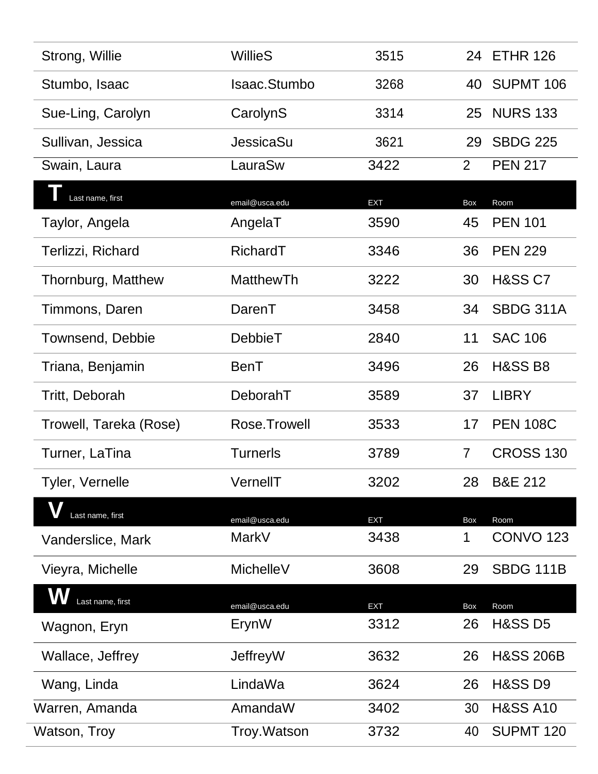| Strong, Willie         | <b>WillieS</b>   | 3515       |                | 24 ETHR 126          |
|------------------------|------------------|------------|----------------|----------------------|
| Stumbo, Isaac          | Isaac.Stumbo     | 3268       | 40             | SUPMT 106            |
| Sue-Ling, Carolyn      | CarolynS         | 3314       | 25             | <b>NURS 133</b>      |
| Sullivan, Jessica      | <b>JessicaSu</b> | 3621       | 29             | <b>SBDG 225</b>      |
| Swain, Laura           | LauraSw          | 3422       | $\overline{2}$ | <b>PEN 217</b>       |
| Last name, first       | email@usca.edu   | <b>EXT</b> | Box            | Room                 |
| Taylor, Angela         | AngelaT          | 3590       | 45             | <b>PEN 101</b>       |
| Terlizzi, Richard      | RichardT         | 3346       | 36             | <b>PEN 229</b>       |
| Thornburg, Matthew     | <b>MatthewTh</b> | 3222       | 30             | <b>H&amp;SS C7</b>   |
| Timmons, Daren         | DarenT           | 3458       | 34             | <b>SBDG 311A</b>     |
| Townsend, Debbie       | <b>DebbieT</b>   | 2840       | 11             | <b>SAC 106</b>       |
| Triana, Benjamin       | BenT             | 3496       | 26             | <b>H&amp;SS B8</b>   |
| Tritt, Deborah         | DeborahT         | 3589       | 37             | <b>LIBRY</b>         |
| Trowell, Tareka (Rose) | Rose.Trowell     | 3533       | 17             | <b>PEN 108C</b>      |
| Turner, LaTina         | <b>Turnerls</b>  | 3789       | 7              | <b>CROSS 130</b>     |
| Tyler, Vernelle        | VernellT         | 3202       | 28             | <b>B&amp;E 212</b>   |
| Last name, first       | email@usca.edu   | <b>EXT</b> | Box            | Room                 |
| Vanderslice, Mark      | MarkV            | 3438       | 1              | <b>CONVO 123</b>     |
| Vieyra, Michelle       | <b>MichelleV</b> | 3608       | 29             | <b>SBDG 111B</b>     |
| Last name, first       | email@usca.edu   | <b>EXT</b> | Box            | Room                 |
| Wagnon, Eryn           | ErynW            | 3312       | 26             | <b>H&amp;SS D5</b>   |
| Wallace, Jeffrey       | JeffreyW         | 3632       | 26             | <b>H&amp;SS 206B</b> |
| Wang, Linda            | LindaWa          | 3624       | 26             | <b>H&amp;SS D9</b>   |
| Warren, Amanda         | AmandaW          | 3402       | 30             | <b>H&amp;SS A10</b>  |
| Watson, Troy           | Troy. Watson     | 3732       | 40             | <b>SUPMT 120</b>     |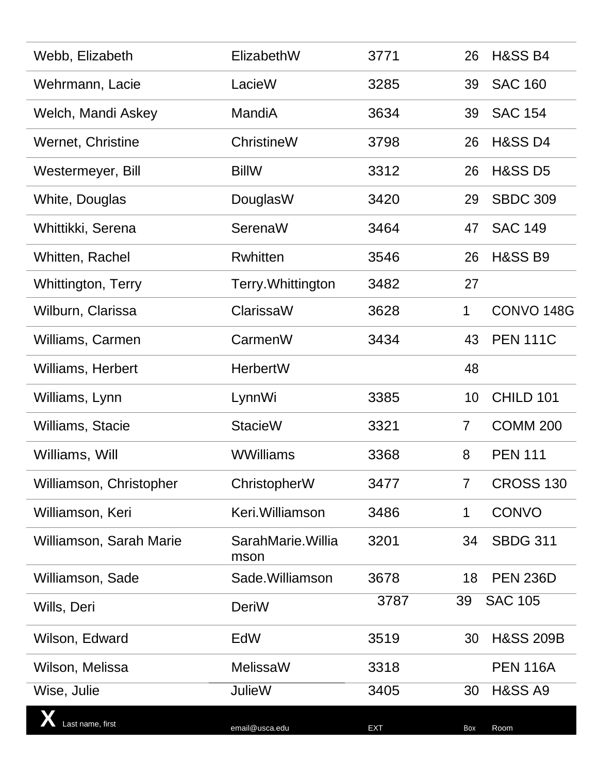| Webb, Elizabeth         | ElizabethW                 | 3771       | 26              | <b>H&amp;SS B4</b>    |
|-------------------------|----------------------------|------------|-----------------|-----------------------|
| Wehrmann, Lacie         | LacieW                     | 3285       | 39              | <b>SAC 160</b>        |
| Welch, Mandi Askey      | MandiA                     | 3634       | 39              | <b>SAC 154</b>        |
| Wernet, Christine       | <b>ChristineW</b>          | 3798       | 26              | <b>H&amp;SS D4</b>    |
| Westermeyer, Bill       | <b>BillW</b>               | 3312       | 26              | <b>H&amp;SS D5</b>    |
| White, Douglas          | DouglasW                   | 3420       | 29              | <b>SBDC 309</b>       |
| Whittikki, Serena       | SerenaW                    | 3464       | 47              | <b>SAC 149</b>        |
| Whitten, Rachel         | <b>Rwhitten</b>            | 3546       | 26              | <b>H&amp;SS B9</b>    |
| Whittington, Terry      | Terry. Whittington         | 3482       | 27              |                       |
| Wilburn, Clarissa       | ClarissaW                  | 3628       | 1               | CONVO <sub>148G</sub> |
| Williams, Carmen        | CarmenW                    | 3434       | 43              | <b>PEN 111C</b>       |
| Williams, Herbert       | <b>HerbertW</b>            |            | 48              |                       |
| Williams, Lynn          | LynnWi                     | 3385       | 10              | CHILD 101             |
| Williams, Stacie        | <b>StacieW</b>             | 3321       | $\overline{7}$  | <b>COMM 200</b>       |
| Williams, Will          | <b>WWilliams</b>           | 3368       | 8               | <b>PEN 111</b>        |
| Williamson, Christopher | ChristopherW               | 3477       | $7\overline{ }$ | <b>CROSS 130</b>      |
| Williamson, Keri        | Keri. Williamson           | 3486       | 1               | <b>CONVO</b>          |
| Williamson, Sarah Marie | SarahMarie. Willia<br>mson | 3201       | 34              | <b>SBDG 311</b>       |
| Williamson, Sade        | Sade. Williamson           | 3678       | 18              | <b>PEN 236D</b>       |
| Wills, Deri             | DeriW                      | 3787       | 39              | <b>SAC 105</b>        |
| Wilson, Edward          | EdW                        | 3519       | 30              | <b>H&amp;SS 209B</b>  |
| Wilson, Melissa         | <b>MelissaW</b>            | 3318       |                 | <b>PEN 116A</b>       |
| Wise, Julie             | <b>JulieW</b>              | 3405       | 30              | <b>H&amp;SS A9</b>    |
| Last name, first        | email@usca.edu             | <b>EXT</b> | Box             | Room                  |